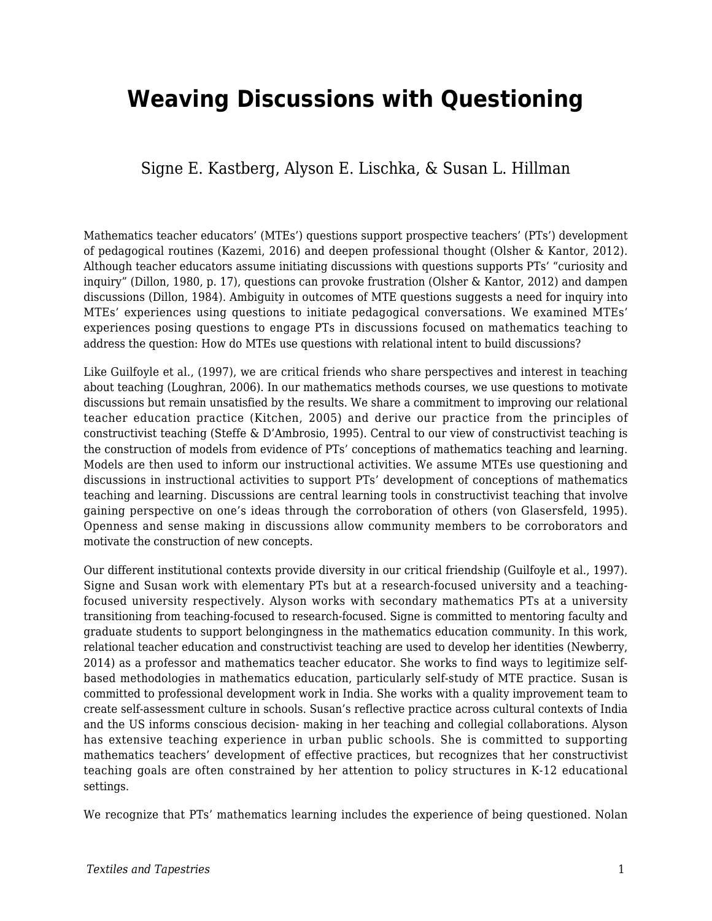# **Weaving Discussions with Questioning**

### Signe E. Kastberg, Alyson E. Lischka, & Susan L. Hillman

Mathematics teacher educators' (MTEs') questions support prospective teachers' (PTs') development of pedagogical routines (Kazemi, 2016) and deepen professional thought (Olsher & Kantor, 2012). Although teacher educators assume initiating discussions with questions supports PTs' "curiosity and inquiry" (Dillon, 1980, p. 17), questions can provoke frustration (Olsher & Kantor, 2012) and dampen discussions (Dillon, 1984). Ambiguity in outcomes of MTE questions suggests a need for inquiry into MTEs' experiences using questions to initiate pedagogical conversations. We examined MTEs' experiences posing questions to engage PTs in discussions focused on mathematics teaching to address the question: How do MTEs use questions with relational intent to build discussions?

Like Guilfoyle et al., (1997), we are critical friends who share perspectives and interest in teaching about teaching (Loughran, 2006). In our mathematics methods courses, we use questions to motivate discussions but remain unsatisfied by the results. We share a commitment to improving our relational teacher education practice (Kitchen, 2005) and derive our practice from the principles of constructivist teaching (Steffe & D'Ambrosio, 1995). Central to our view of constructivist teaching is the construction of models from evidence of PTs' conceptions of mathematics teaching and learning. Models are then used to inform our instructional activities. We assume MTEs use questioning and discussions in instructional activities to support PTs' development of conceptions of mathematics teaching and learning. Discussions are central learning tools in constructivist teaching that involve gaining perspective on one's ideas through the corroboration of others (von Glasersfeld, 1995). Openness and sense making in discussions allow community members to be corroborators and motivate the construction of new concepts.

Our different institutional contexts provide diversity in our critical friendship (Guilfoyle et al., 1997). Signe and Susan work with elementary PTs but at a research-focused university and a teachingfocused university respectively. Alyson works with secondary mathematics PTs at a university transitioning from teaching-focused to research-focused. Signe is committed to mentoring faculty and graduate students to support belongingness in the mathematics education community. In this work, relational teacher education and constructivist teaching are used to develop her identities (Newberry, 2014) as a professor and mathematics teacher educator. She works to find ways to legitimize selfbased methodologies in mathematics education, particularly self-study of MTE practice. Susan is committed to professional development work in India. She works with a quality improvement team to create self-assessment culture in schools. Susan's reflective practice across cultural contexts of India and the US informs conscious decision- making in her teaching and collegial collaborations. Alyson has extensive teaching experience in urban public schools. She is committed to supporting mathematics teachers' development of effective practices, but recognizes that her constructivist teaching goals are often constrained by her attention to policy structures in K-12 educational settings.

We recognize that PTs' mathematics learning includes the experience of being questioned. Nolan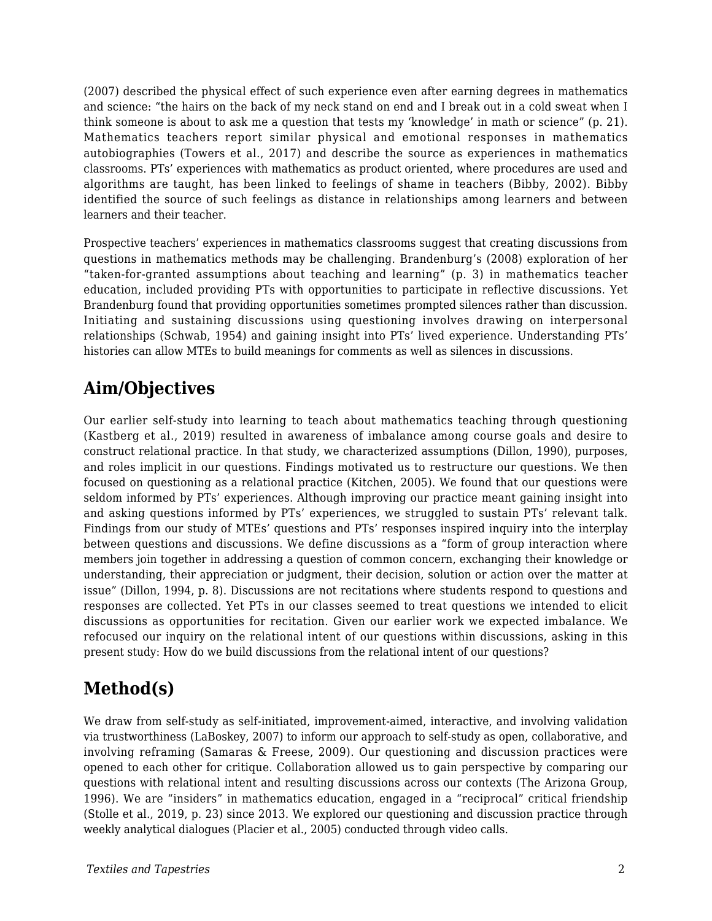(2007) described the physical effect of such experience even after earning degrees in mathematics and science: "the hairs on the back of my neck stand on end and I break out in a cold sweat when I think someone is about to ask me a question that tests my 'knowledge' in math or science" (p. 21). Mathematics teachers report similar physical and emotional responses in mathematics autobiographies (Towers et al., 2017) and describe the source as experiences in mathematics classrooms. PTs' experiences with mathematics as product oriented, where procedures are used and algorithms are taught, has been linked to feelings of shame in teachers (Bibby, 2002). Bibby identified the source of such feelings as distance in relationships among learners and between learners and their teacher.

Prospective teachers' experiences in mathematics classrooms suggest that creating discussions from questions in mathematics methods may be challenging. Brandenburg's (2008) exploration of her "taken-for-granted assumptions about teaching and learning" (p. 3) in mathematics teacher education, included providing PTs with opportunities to participate in reflective discussions. Yet Brandenburg found that providing opportunities sometimes prompted silences rather than discussion. Initiating and sustaining discussions using questioning involves drawing on interpersonal relationships (Schwab, 1954) and gaining insight into PTs' lived experience. Understanding PTs' histories can allow MTEs to build meanings for comments as well as silences in discussions.

## **Aim/Objectives**

Our earlier self-study into learning to teach about mathematics teaching through questioning (Kastberg et al., 2019) resulted in awareness of imbalance among course goals and desire to construct relational practice. In that study, we characterized assumptions (Dillon, 1990), purposes, and roles implicit in our questions. Findings motivated us to restructure our questions. We then focused on questioning as a relational practice (Kitchen, 2005). We found that our questions were seldom informed by PTs' experiences. Although improving our practice meant gaining insight into and asking questions informed by PTs' experiences, we struggled to sustain PTs' relevant talk. Findings from our study of MTEs' questions and PTs' responses inspired inquiry into the interplay between questions and discussions. We define discussions as a "form of group interaction where members join together in addressing a question of common concern, exchanging their knowledge or understanding, their appreciation or judgment, their decision, solution or action over the matter at issue" (Dillon, 1994, p. 8). Discussions are not recitations where students respond to questions and responses are collected. Yet PTs in our classes seemed to treat questions we intended to elicit discussions as opportunities for recitation. Given our earlier work we expected imbalance. We refocused our inquiry on the relational intent of our questions within discussions, asking in this present study: How do we build discussions from the relational intent of our questions?

## **Method(s)**

We draw from self-study as self-initiated, improvement-aimed, interactive, and involving validation via trustworthiness (LaBoskey, 2007) to inform our approach to self-study as open, collaborative, and involving reframing (Samaras & Freese, 2009). Our questioning and discussion practices were opened to each other for critique. Collaboration allowed us to gain perspective by comparing our questions with relational intent and resulting discussions across our contexts (The Arizona Group, 1996). We are "insiders" in mathematics education, engaged in a "reciprocal" critical friendship (Stolle et al., 2019, p. 23) since 2013. We explored our questioning and discussion practice through weekly analytical dialogues (Placier et al., 2005) conducted through video calls.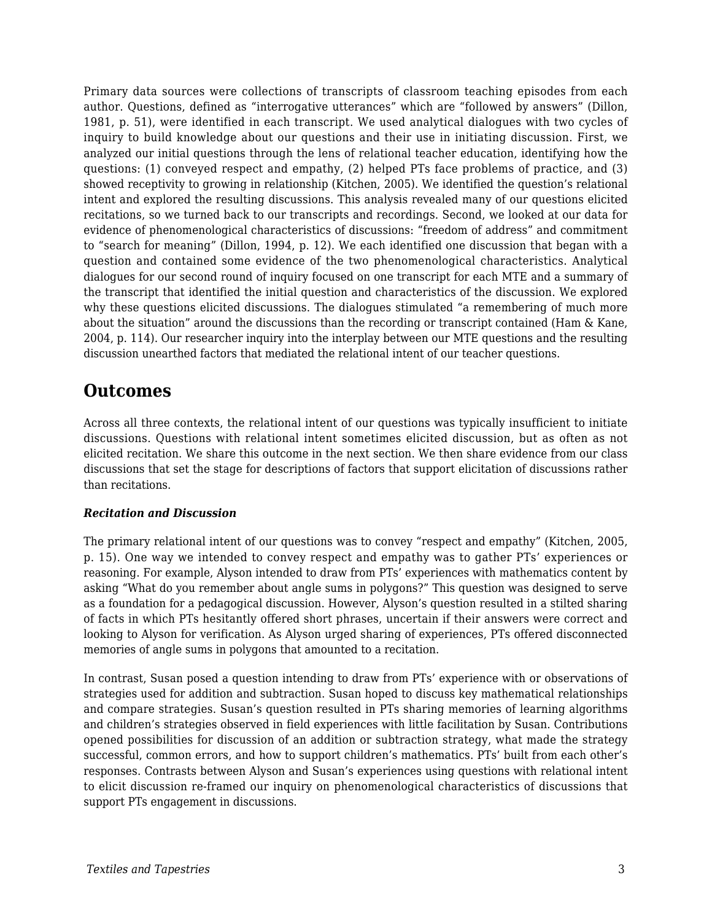Primary data sources were collections of transcripts of classroom teaching episodes from each author. Questions, defined as "interrogative utterances" which are "followed by answers" (Dillon, 1981, p. 51), were identified in each transcript. We used analytical dialogues with two cycles of inquiry to build knowledge about our questions and their use in initiating discussion. First, we analyzed our initial questions through the lens of relational teacher education, identifying how the questions: (1) conveyed respect and empathy, (2) helped PTs face problems of practice, and (3) showed receptivity to growing in relationship (Kitchen, 2005). We identified the question's relational intent and explored the resulting discussions. This analysis revealed many of our questions elicited recitations, so we turned back to our transcripts and recordings. Second, we looked at our data for evidence of phenomenological characteristics of discussions: "freedom of address" and commitment to "search for meaning" (Dillon, 1994, p. 12). We each identified one discussion that began with a question and contained some evidence of the two phenomenological characteristics. Analytical dialogues for our second round of inquiry focused on one transcript for each MTE and a summary of the transcript that identified the initial question and characteristics of the discussion. We explored why these questions elicited discussions. The dialogues stimulated "a remembering of much more about the situation" around the discussions than the recording or transcript contained (Ham & Kane, 2004, p. 114). Our researcher inquiry into the interplay between our MTE questions and the resulting discussion unearthed factors that mediated the relational intent of our teacher questions.

### **Outcomes**

Across all three contexts, the relational intent of our questions was typically insufficient to initiate discussions. Questions with relational intent sometimes elicited discussion, but as often as not elicited recitation. We share this outcome in the next section. We then share evidence from our class discussions that set the stage for descriptions of factors that support elicitation of discussions rather than recitations.

#### *Recitation and Discussion*

The primary relational intent of our questions was to convey "respect and empathy" (Kitchen, 2005, p. 15). One way we intended to convey respect and empathy was to gather PTs' experiences or reasoning. For example, Alyson intended to draw from PTs' experiences with mathematics content by asking "What do you remember about angle sums in polygons?" This question was designed to serve as a foundation for a pedagogical discussion. However, Alyson's question resulted in a stilted sharing of facts in which PTs hesitantly offered short phrases, uncertain if their answers were correct and looking to Alyson for verification. As Alyson urged sharing of experiences, PTs offered disconnected memories of angle sums in polygons that amounted to a recitation.

In contrast, Susan posed a question intending to draw from PTs' experience with or observations of strategies used for addition and subtraction. Susan hoped to discuss key mathematical relationships and compare strategies. Susan's question resulted in PTs sharing memories of learning algorithms and children's strategies observed in field experiences with little facilitation by Susan. Contributions opened possibilities for discussion of an addition or subtraction strategy, what made the strategy successful, common errors, and how to support children's mathematics. PTs' built from each other's responses. Contrasts between Alyson and Susan's experiences using questions with relational intent to elicit discussion re-framed our inquiry on phenomenological characteristics of discussions that support PTs engagement in discussions.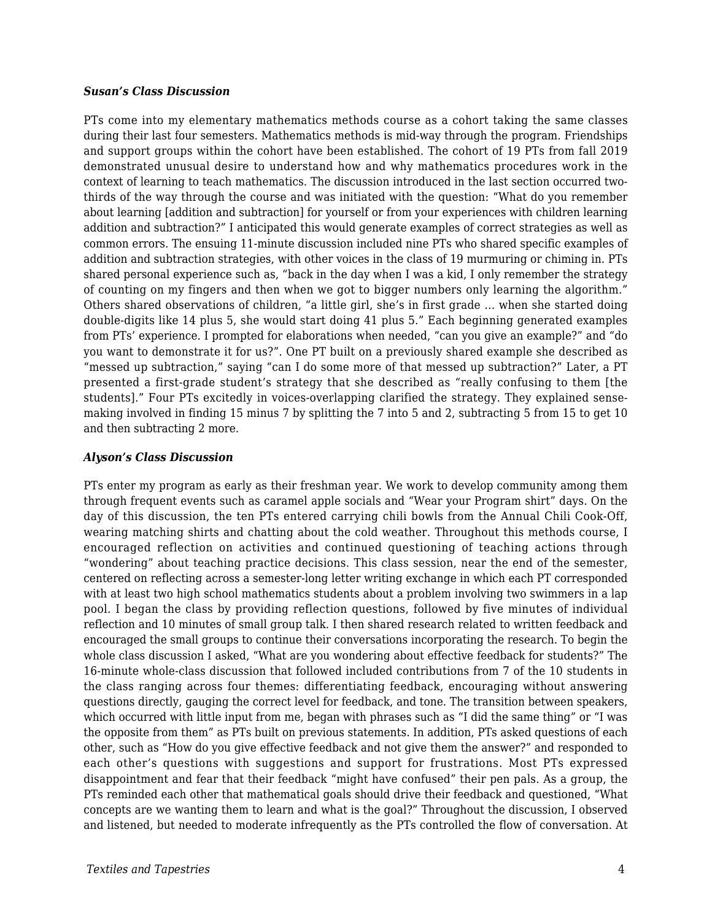#### *Susan's Class Discussion*

PTs come into my elementary mathematics methods course as a cohort taking the same classes during their last four semesters. Mathematics methods is mid-way through the program. Friendships and support groups within the cohort have been established. The cohort of 19 PTs from fall 2019 demonstrated unusual desire to understand how and why mathematics procedures work in the context of learning to teach mathematics. The discussion introduced in the last section occurred twothirds of the way through the course and was initiated with the question: "What do you remember about learning [addition and subtraction] for yourself or from your experiences with children learning addition and subtraction?" I anticipated this would generate examples of correct strategies as well as common errors. The ensuing 11-minute discussion included nine PTs who shared specific examples of addition and subtraction strategies, with other voices in the class of 19 murmuring or chiming in. PTs shared personal experience such as, "back in the day when I was a kid, I only remember the strategy of counting on my fingers and then when we got to bigger numbers only learning the algorithm." Others shared observations of children, "a little girl, she's in first grade … when she started doing double-digits like 14 plus 5, she would start doing 41 plus 5." Each beginning generated examples from PTs' experience. I prompted for elaborations when needed, "can you give an example?" and "do you want to demonstrate it for us?". One PT built on a previously shared example she described as "messed up subtraction," saying "can I do some more of that messed up subtraction?" Later, a PT presented a first-grade student's strategy that she described as "really confusing to them [the students]." Four PTs excitedly in voices-overlapping clarified the strategy. They explained sensemaking involved in finding 15 minus 7 by splitting the 7 into 5 and 2, subtracting 5 from 15 to get 10 and then subtracting 2 more.

#### *Alyson's Class Discussion*

PTs enter my program as early as their freshman year. We work to develop community among them through frequent events such as caramel apple socials and "Wear your Program shirt" days. On the day of this discussion, the ten PTs entered carrying chili bowls from the Annual Chili Cook-Off, wearing matching shirts and chatting about the cold weather. Throughout this methods course, I encouraged reflection on activities and continued questioning of teaching actions through "wondering" about teaching practice decisions. This class session, near the end of the semester, centered on reflecting across a semester-long letter writing exchange in which each PT corresponded with at least two high school mathematics students about a problem involving two swimmers in a lap pool. I began the class by providing reflection questions, followed by five minutes of individual reflection and 10 minutes of small group talk. I then shared research related to written feedback and encouraged the small groups to continue their conversations incorporating the research. To begin the whole class discussion I asked, "What are you wondering about effective feedback for students?" The 16-minute whole-class discussion that followed included contributions from 7 of the 10 students in the class ranging across four themes: differentiating feedback, encouraging without answering questions directly, gauging the correct level for feedback, and tone. The transition between speakers, which occurred with little input from me, began with phrases such as "I did the same thing" or "I was the opposite from them" as PTs built on previous statements. In addition, PTs asked questions of each other, such as "How do you give effective feedback and not give them the answer?" and responded to each other's questions with suggestions and support for frustrations. Most PTs expressed disappointment and fear that their feedback "might have confused" their pen pals. As a group, the PTs reminded each other that mathematical goals should drive their feedback and questioned, "What concepts are we wanting them to learn and what is the goal?" Throughout the discussion, I observed and listened, but needed to moderate infrequently as the PTs controlled the flow of conversation. At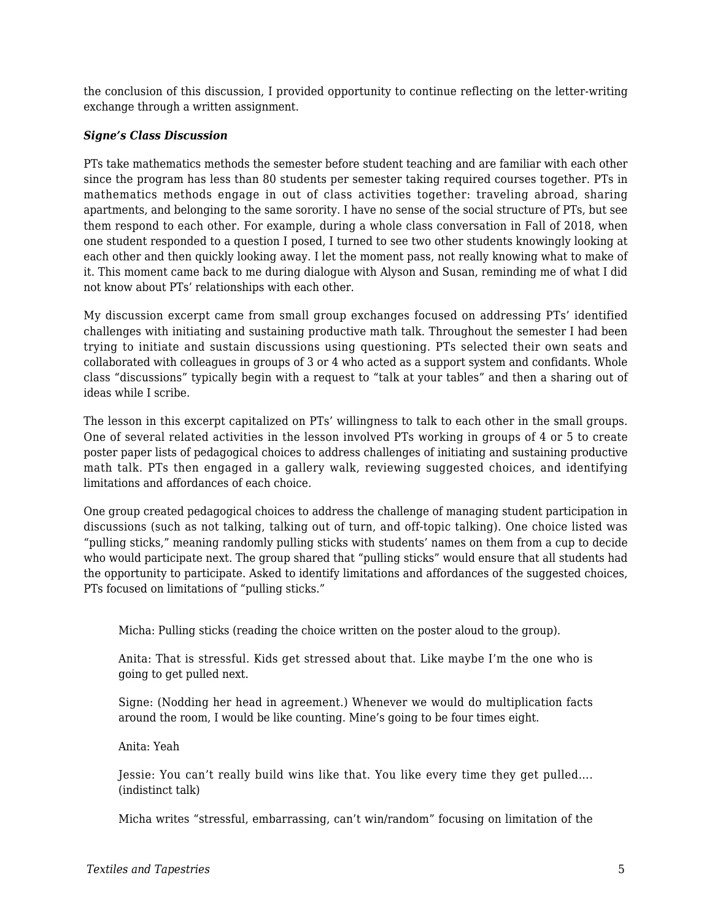the conclusion of this discussion, I provided opportunity to continue reflecting on the letter-writing exchange through a written assignment.

#### *Signe's Class Discussion*

PTs take mathematics methods the semester before student teaching and are familiar with each other since the program has less than 80 students per semester taking required courses together. PTs in mathematics methods engage in out of class activities together: traveling abroad, sharing apartments, and belonging to the same sorority. I have no sense of the social structure of PTs, but see them respond to each other. For example, during a whole class conversation in Fall of 2018, when one student responded to a question I posed, I turned to see two other students knowingly looking at each other and then quickly looking away. I let the moment pass, not really knowing what to make of it. This moment came back to me during dialogue with Alyson and Susan, reminding me of what I did not know about PTs' relationships with each other.

My discussion excerpt came from small group exchanges focused on addressing PTs' identified challenges with initiating and sustaining productive math talk. Throughout the semester I had been trying to initiate and sustain discussions using questioning. PTs selected their own seats and collaborated with colleagues in groups of 3 or 4 who acted as a support system and confidants. Whole class "discussions" typically begin with a request to "talk at your tables" and then a sharing out of ideas while I scribe.

The lesson in this excerpt capitalized on PTs' willingness to talk to each other in the small groups. One of several related activities in the lesson involved PTs working in groups of 4 or 5 to create poster paper lists of pedagogical choices to address challenges of initiating and sustaining productive math talk. PTs then engaged in a gallery walk, reviewing suggested choices, and identifying limitations and affordances of each choice.

One group created pedagogical choices to address the challenge of managing student participation in discussions (such as not talking, talking out of turn, and off-topic talking). One choice listed was "pulling sticks," meaning randomly pulling sticks with students' names on them from a cup to decide who would participate next. The group shared that "pulling sticks" would ensure that all students had the opportunity to participate. Asked to identify limitations and affordances of the suggested choices, PTs focused on limitations of "pulling sticks."

Micha: Pulling sticks (reading the choice written on the poster aloud to the group).

Anita: That is stressful. Kids get stressed about that. Like maybe I'm the one who is going to get pulled next.

Signe: (Nodding her head in agreement.) Whenever we would do multiplication facts around the room, I would be like counting. Mine's going to be four times eight.

Anita: Yeah

Jessie: You can't really build wins like that. You like every time they get pulled…. (indistinct talk)

Micha writes "stressful, embarrassing, can't win/random" focusing on limitation of the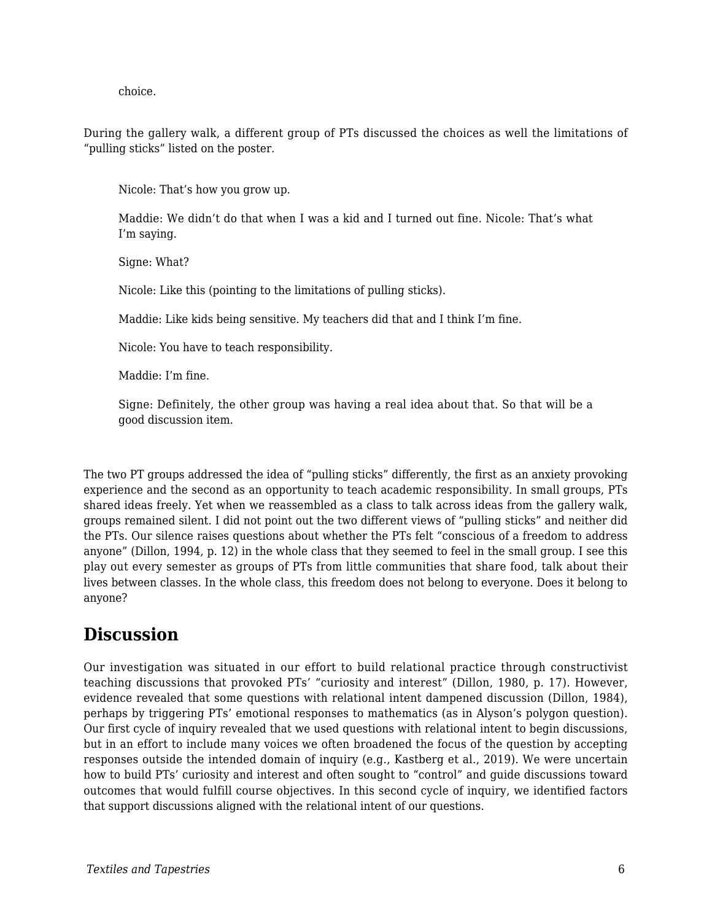choice.

During the gallery walk, a different group of PTs discussed the choices as well the limitations of "pulling sticks" listed on the poster.

Nicole: That's how you grow up.

Maddie: We didn't do that when I was a kid and I turned out fine. Nicole: That's what I'm saying.

Signe: What?

Nicole: Like this (pointing to the limitations of pulling sticks).

Maddie: Like kids being sensitive. My teachers did that and I think I'm fine.

Nicole: You have to teach responsibility.

Maddie: I'm fine.

Signe: Definitely, the other group was having a real idea about that. So that will be a good discussion item.

The two PT groups addressed the idea of "pulling sticks" differently, the first as an anxiety provoking experience and the second as an opportunity to teach academic responsibility. In small groups, PTs shared ideas freely. Yet when we reassembled as a class to talk across ideas from the gallery walk, groups remained silent. I did not point out the two different views of "pulling sticks" and neither did the PTs. Our silence raises questions about whether the PTs felt "conscious of a freedom to address anyone" (Dillon, 1994, p. 12) in the whole class that they seemed to feel in the small group. I see this play out every semester as groups of PTs from little communities that share food, talk about their lives between classes. In the whole class, this freedom does not belong to everyone. Does it belong to anyone?

## **Discussion**

Our investigation was situated in our effort to build relational practice through constructivist teaching discussions that provoked PTs' "curiosity and interest" (Dillon, 1980, p. 17). However, evidence revealed that some questions with relational intent dampened discussion (Dillon, 1984), perhaps by triggering PTs' emotional responses to mathematics (as in Alyson's polygon question). Our first cycle of inquiry revealed that we used questions with relational intent to begin discussions, but in an effort to include many voices we often broadened the focus of the question by accepting responses outside the intended domain of inquiry (e.g., Kastberg et al., 2019). We were uncertain how to build PTs' curiosity and interest and often sought to "control" and guide discussions toward outcomes that would fulfill course objectives. In this second cycle of inquiry, we identified factors that support discussions aligned with the relational intent of our questions.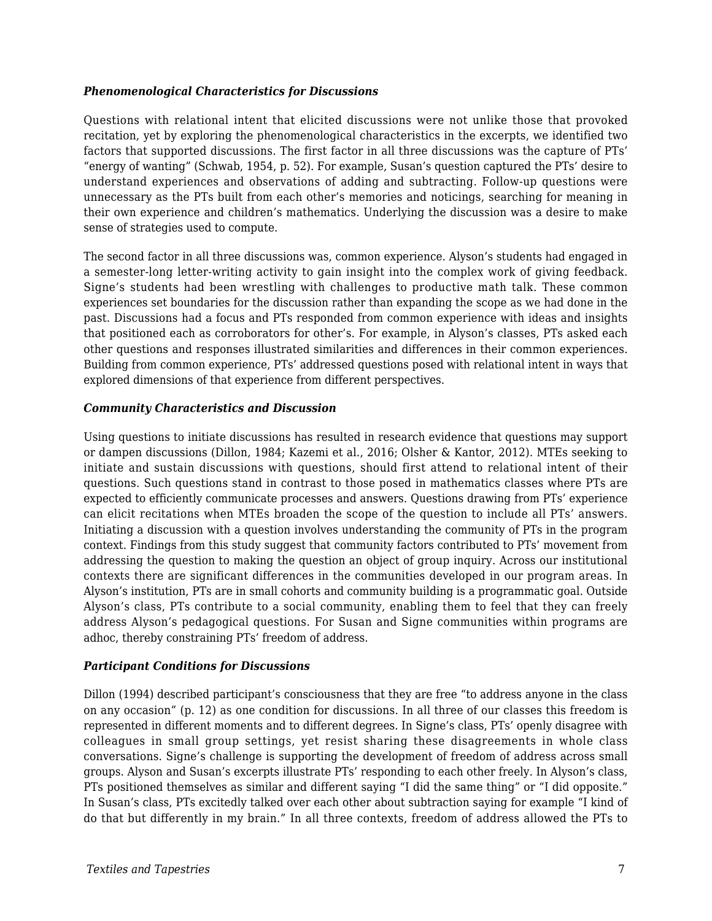#### *Phenomenological Characteristics for Discussions*

Questions with relational intent that elicited discussions were not unlike those that provoked recitation, yet by exploring the phenomenological characteristics in the excerpts, we identified two factors that supported discussions. The first factor in all three discussions was the capture of PTs' "energy of wanting" (Schwab, 1954, p. 52). For example, Susan's question captured the PTs' desire to understand experiences and observations of adding and subtracting. Follow-up questions were unnecessary as the PTs built from each other's memories and noticings, searching for meaning in their own experience and children's mathematics. Underlying the discussion was a desire to make sense of strategies used to compute.

The second factor in all three discussions was, common experience. Alyson's students had engaged in a semester-long letter-writing activity to gain insight into the complex work of giving feedback. Signe's students had been wrestling with challenges to productive math talk. These common experiences set boundaries for the discussion rather than expanding the scope as we had done in the past. Discussions had a focus and PTs responded from common experience with ideas and insights that positioned each as corroborators for other's. For example, in Alyson's classes, PTs asked each other questions and responses illustrated similarities and differences in their common experiences. Building from common experience, PTs' addressed questions posed with relational intent in ways that explored dimensions of that experience from different perspectives.

#### *Community Characteristics and Discussion*

Using questions to initiate discussions has resulted in research evidence that questions may support or dampen discussions (Dillon, 1984; Kazemi et al., 2016; Olsher & Kantor, 2012). MTEs seeking to initiate and sustain discussions with questions, should first attend to relational intent of their questions. Such questions stand in contrast to those posed in mathematics classes where PTs are expected to efficiently communicate processes and answers. Questions drawing from PTs' experience can elicit recitations when MTEs broaden the scope of the question to include all PTs' answers. Initiating a discussion with a question involves understanding the community of PTs in the program context. Findings from this study suggest that community factors contributed to PTs' movement from addressing the question to making the question an object of group inquiry. Across our institutional contexts there are significant differences in the communities developed in our program areas. In Alyson's institution, PTs are in small cohorts and community building is a programmatic goal. Outside Alyson's class, PTs contribute to a social community, enabling them to feel that they can freely address Alyson's pedagogical questions. For Susan and Signe communities within programs are adhoc, thereby constraining PTs' freedom of address.

#### *Participant Conditions for Discussions*

Dillon (1994) described participant's consciousness that they are free "to address anyone in the class on any occasion" (p. 12) as one condition for discussions. In all three of our classes this freedom is represented in different moments and to different degrees. In Signe's class, PTs' openly disagree with colleagues in small group settings, yet resist sharing these disagreements in whole class conversations. Signe's challenge is supporting the development of freedom of address across small groups. Alyson and Susan's excerpts illustrate PTs' responding to each other freely. In Alyson's class, PTs positioned themselves as similar and different saying "I did the same thing" or "I did opposite." In Susan's class, PTs excitedly talked over each other about subtraction saying for example "I kind of do that but differently in my brain." In all three contexts, freedom of address allowed the PTs to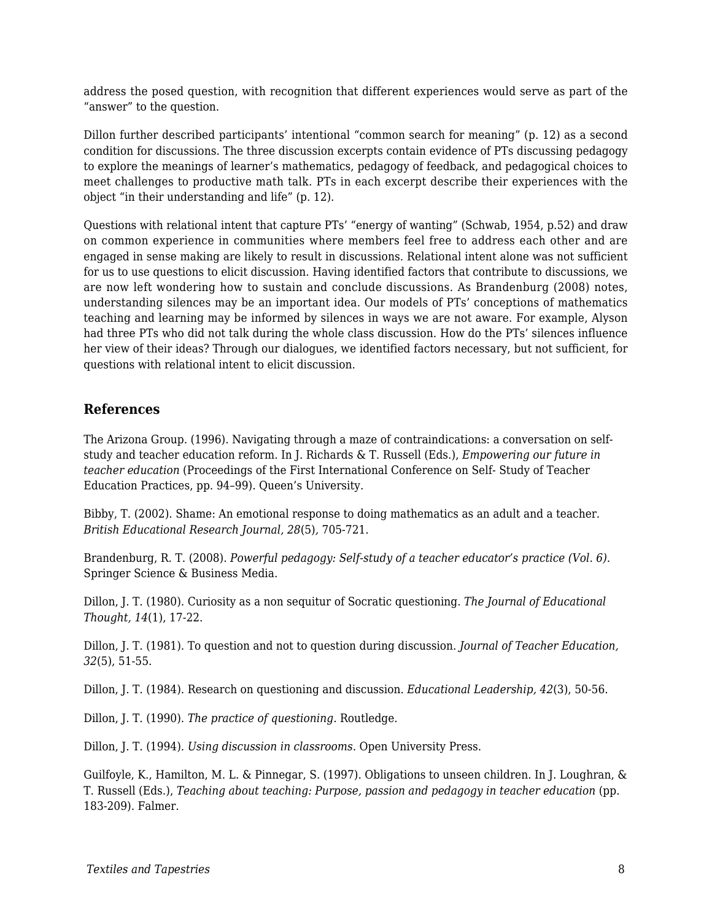address the posed question, with recognition that different experiences would serve as part of the "answer" to the question.

Dillon further described participants' intentional "common search for meaning" (p. 12) as a second condition for discussions. The three discussion excerpts contain evidence of PTs discussing pedagogy to explore the meanings of learner's mathematics, pedagogy of feedback, and pedagogical choices to meet challenges to productive math talk. PTs in each excerpt describe their experiences with the object "in their understanding and life" (p. 12).

Questions with relational intent that capture PTs' "energy of wanting" (Schwab, 1954, p.52) and draw on common experience in communities where members feel free to address each other and are engaged in sense making are likely to result in discussions. Relational intent alone was not sufficient for us to use questions to elicit discussion. Having identified factors that contribute to discussions, we are now left wondering how to sustain and conclude discussions. As Brandenburg (2008) notes, understanding silences may be an important idea. Our models of PTs' conceptions of mathematics teaching and learning may be informed by silences in ways we are not aware. For example, Alyson had three PTs who did not talk during the whole class discussion. How do the PTs' silences influence her view of their ideas? Through our dialogues, we identified factors necessary, but not sufficient, for questions with relational intent to elicit discussion.

#### **References**

The Arizona Group. (1996). Navigating through a maze of contraindications: a conversation on selfstudy and teacher education reform. In J. Richards & T. Russell (Eds.), *Empowering our future in teacher education* (Proceedings of the First International Conference on Self- Study of Teacher Education Practices, pp. 94–99). Queen's University.

Bibby, T. (2002). Shame: An emotional response to doing mathematics as an adult and a teacher. *British Educational Research Journal, 28*(5)*,* 705-721.

Brandenburg, R. T. (2008). *Powerful pedagogy: Self-study of a teacher educator's practice (Vol. 6).* Springer Science & Business Media.

Dillon, J. T. (1980). Curiosity as a non sequitur of Socratic questioning. *The Journal of Educational Thought, 14*(1), 17-22.

Dillon, J. T. (1981). To question and not to question during discussion. *Journal of Teacher Education, 32*(5), 51-55.

Dillon, J. T. (1984). Research on questioning and discussion. *Educational Leadership, 42*(3), 50-56.

Dillon, J. T. (1990). *The practice of questioning.* Routledge.

Dillon, J. T. (1994). *Using discussion in classrooms*. Open University Press.

Guilfoyle, K., Hamilton, M. L. & Pinnegar, S. (1997). Obligations to unseen children. In J. Loughran, & T. Russell (Eds.), *Teaching about teaching: Purpose, passion and pedagogy in teacher education* (pp. 183-209). Falmer.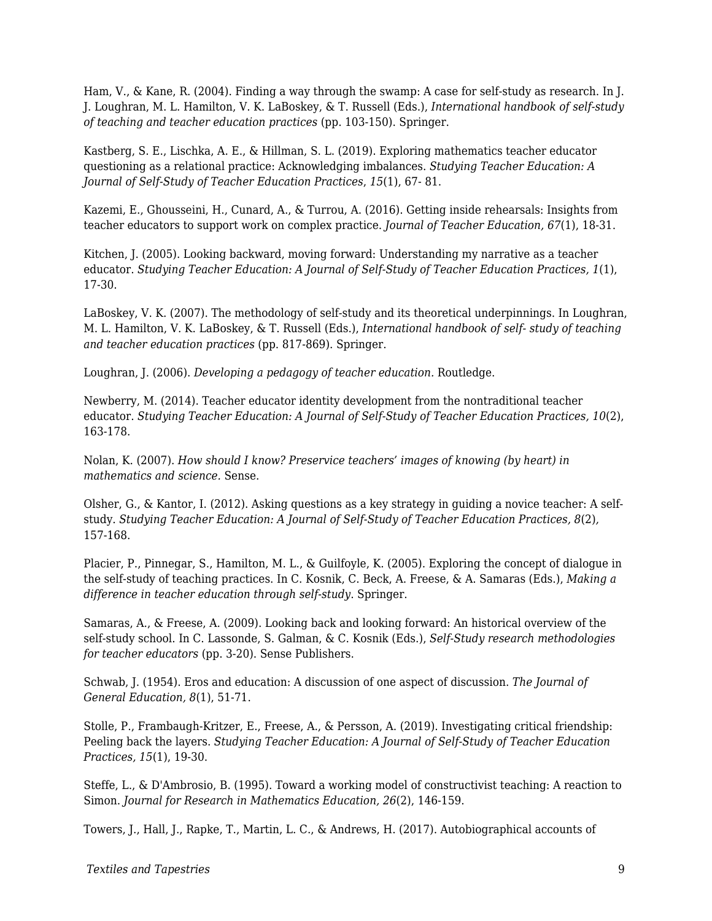Ham, V., & Kane, R. (2004). Finding a way through the swamp: A case for self-study as research. In J. J. Loughran, M. L. Hamilton, V. K. LaBoskey, & T. Russell (Eds.), *International handbook of self-study of teaching and teacher education practices* (pp. 103-150). Springer.

Kastberg, S. E., Lischka, A. E., & Hillman, S. L. (2019). Exploring mathematics teacher educator questioning as a relational practice: Acknowledging imbalances. *Studying Teacher Education: A Journal of Self-Study of Teacher Education Practices*, *15*(1), 67- 81.

Kazemi, E., Ghousseini, H., Cunard, A., & Turrou, A. (2016). Getting inside rehearsals: Insights from teacher educators to support work on complex practice. *Journal of Teacher Education, 67*(1), 18-31.

Kitchen, J. (2005). Looking backward, moving forward: Understanding my narrative as a teacher educator. *Studying Teacher Education: A Journal of Self-Study of Teacher Education Practices, 1*(1), 17-30.

LaBoskey, V. K. (2007). The methodology of self-study and its theoretical underpinnings. In Loughran, M. L. Hamilton, V. K. LaBoskey, & T. Russell (Eds.), *International handbook of self- study of teaching and teacher education practices* (pp. 817-869). Springer.

Loughran, J. (2006). *Developing a pedagogy of teacher education.* Routledge.

Newberry, M. (2014). Teacher educator identity development from the nontraditional teacher educator. *Studying Teacher Education: A Journal of Self-Study of Teacher Education Practices, 10*(2), 163-178.

Nolan, K. (2007). *How should I know? Preservice teachers' images of knowing (by heart) in mathematics and science.* Sense.

Olsher, G., & Kantor, I. (2012). Asking questions as a key strategy in guiding a novice teacher: A selfstudy. *Studying Teacher Education: A Journal of Self-Study of Teacher Education Practices, 8*(2)*,* 157-168.

Placier, P., Pinnegar, S., Hamilton, M. L., & Guilfoyle, K. (2005). Exploring the concept of dialogue in the self-study of teaching practices. In C. Kosnik, C. Beck, A. Freese, & A. Samaras (Eds.), *Making a difference in teacher education through self-study*. Springer.

Samaras, A., & Freese, A. (2009). Looking back and looking forward: An historical overview of the self-study school. In C. Lassonde, S. Galman, & C. Kosnik (Eds.), *Self-Study research methodologies for teacher educators* (pp. 3-20). Sense Publishers.

Schwab, J. (1954). Eros and education: A discussion of one aspect of discussion. *The Journal of General Education, 8*(1), 51-71.

Stolle, P., Frambaugh-Kritzer, E., Freese, A., & Persson, A. (2019). Investigating critical friendship: Peeling back the layers. *Studying Teacher Education: A Journal of Self-Study of Teacher Education Practices, 15*(1), 19-30.

Steffe, L., & D'Ambrosio, B. (1995). Toward a working model of constructivist teaching: A reaction to Simon. *Journal for Research in Mathematics Education, 26*(2), 146-159.

Towers, J., Hall, J., Rapke, T., Martin, L. C., & Andrews, H. (2017). Autobiographical accounts of